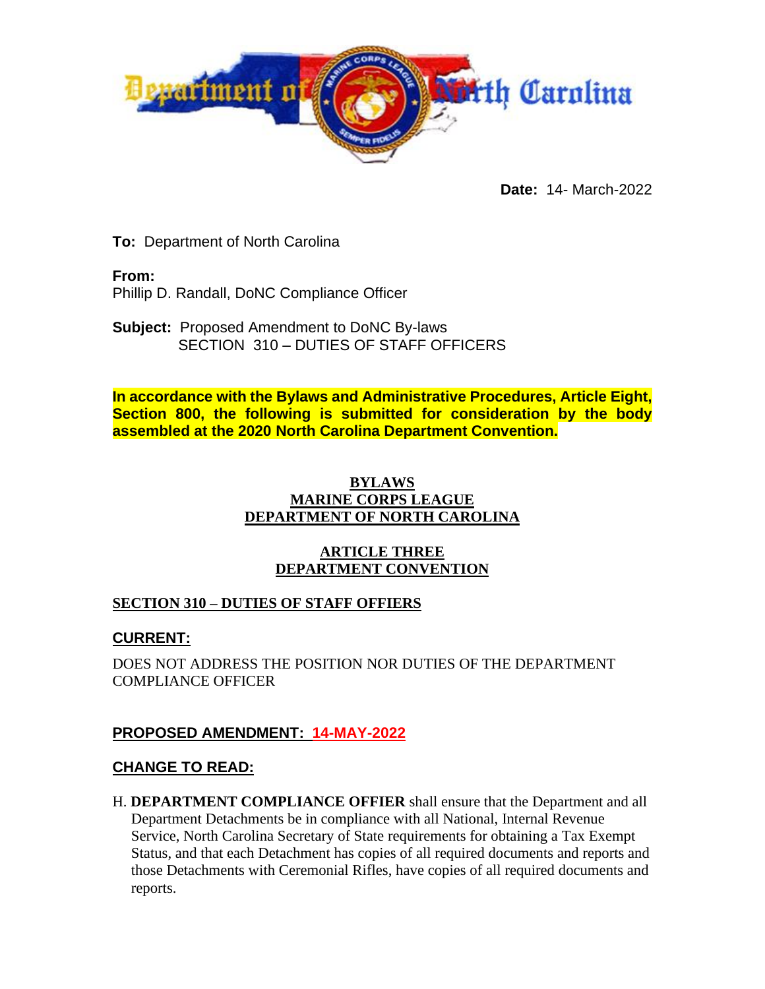

**Date:** 14- March-2022

**To:** Department of North Carolina

**From:**

Phillip D. Randall, DoNC Compliance Officer

**Subject:** Proposed Amendment to DoNC By-laws SECTION 310 – DUTIES OF STAFF OFFICERS

**In accordance with the Bylaws and Administrative Procedures, Article Eight, Section 800, the following is submitted for consideration by the body assembled at the 2020 North Carolina Department Convention.**

#### **BYLAWS MARINE CORPS LEAGUE DEPARTMENT OF NORTH CAROLINA**

#### **ARTICLE THREE DEPARTMENT CONVENTION**

### **SECTION 310 – DUTIES OF STAFF OFFIERS**

# **CURRENT:**

DOES NOT ADDRESS THE POSITION NOR DUTIES OF THE DEPARTMENT COMPLIANCE OFFICER

# **PROPOSED AMENDMENT: 14-MAY-2022**

### **CHANGE TO READ:**

H. **DEPARTMENT COMPLIANCE OFFIER** shall ensure that the Department and all Department Detachments be in compliance with all National, Internal Revenue Service, North Carolina Secretary of State requirements for obtaining a Tax Exempt Status, and that each Detachment has copies of all required documents and reports and those Detachments with Ceremonial Rifles, have copies of all required documents and reports.